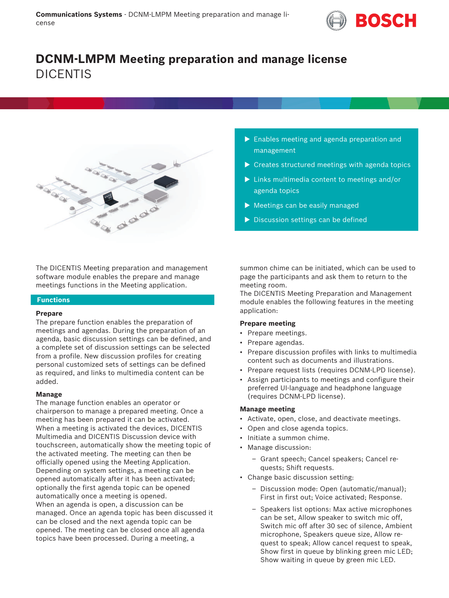

# **DCNM-LMPM Meeting preparation and manage license** DICENTIS



The DICENTIS Meeting preparation and management software module enables the prepare and manage meetings functions in the Meeting application.

# **Functions**

### **Prepare**

The prepare function enables the preparation of meetings and agendas. During the preparation of an agenda, basic discussion settings can be defined, and a complete set of discussion settings can be selected from a profile. New discussion profiles for creating personal customized sets of settings can be defined as required, and links to multimedia content can be added.

### **Manage**

The manage function enables an operator or chairperson to manage a prepared meeting. Once a meeting has been prepared it can be activated. When a meeting is activated the devices, DICENTIS Multimedia and DICENTIS Discussion device with touchscreen, automatically show the meeting topic of the activated meeting. The meeting can then be officially opened using the Meeting Application. Depending on system settings, a meeting can be opened automatically after it has been activated; optionally the first agenda topic can be opened automatically once a meeting is opened. When an agenda is open, a discussion can be managed. Once an agenda topic has been discussed it can be closed and the next agenda topic can be opened. The meeting can be closed once all agenda topics have been processed. During a meeting, a

- $\blacktriangleright$  Enables meeting and agenda preparation and management
- $\triangleright$  Creates structured meetings with agenda topics
- $\blacktriangleright$  Links multimedia content to meetings and/or agenda topics
- $\blacktriangleright$  Meetings can be easily managed
- $\triangleright$  Discussion settings can be defined

summon chime can be initiated, which can be used to page the participants and ask them to return to the meeting room.

The DICENTIS Meeting Preparation and Management module enables the following features in the meeting application:

## **Prepare meeting**

- Prepare meetings.
- Prepare agendas.
- Prepare discussion profiles with links to multimedia content such as documents and illustrations.
- Prepare request lists (requires DCNM-LPD license).
- Assign participants to meetings and configure their preferred UI-language and headphone language (requires DCNM-LPD license).

# **Manage meeting**

- Activate, open, close, and deactivate meetings.
- Open and close agenda topics.
- Initiate a summon chime.
- Manage discussion:
	- Grant speech; Cancel speakers; Cancel requests; Shift requests.
- Change basic discussion setting:
	- Discussion mode: Open (automatic/manual); First in first out; Voice activated; Response.
	- Speakers list options: Max active microphones can be set, Allow speaker to switch mic off, Switch mic off after 30 sec of silence, Ambient microphone, Speakers queue size, Allow request to speak; Allow cancel request to speak, Show first in queue by blinking green mic LED; Show waiting in queue by green mic LED.